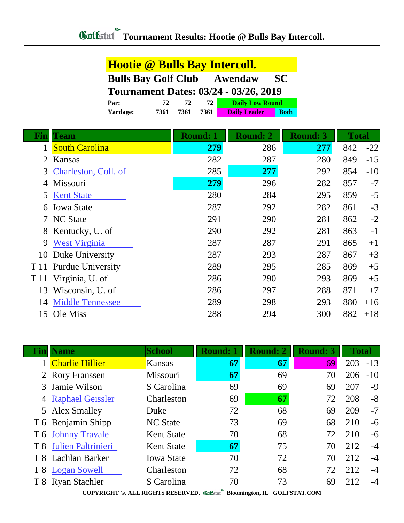| <b>Hootie @ Bulls Bay Intercoll.</b>               |                                              |              |                 |                        |                 |              |
|----------------------------------------------------|----------------------------------------------|--------------|-----------------|------------------------|-----------------|--------------|
| <b>Bulls Bay Golf Club</b><br><b>SC</b><br>Awendaw |                                              |              |                 |                        |                 |              |
|                                                    | <b>Tournament Dates: 03/24 - 03/26, 2019</b> |              |                 |                        |                 |              |
|                                                    | Par:                                         | 72           | 72<br>72        | <b>Daily Low Round</b> |                 |              |
|                                                    | Yardage:                                     | 7361<br>7361 | 7361            | <b>Daily Leader</b>    | <b>Both</b>     |              |
| Finll                                              | <b>Team</b>                                  |              | <b>Round: 1</b> | <b>Round: 2</b>        | <b>Round: 3</b> | <b>Total</b> |
| $\mathbf{1}$                                       | <b>South Carolina</b>                        |              | 279             | 286                    | 277             | 842          |
| 2                                                  | Kansas                                       |              | 282             | 287                    | 280             | 849          |
| 3                                                  | Charleston, Coll. of                         |              | 285             | 277                    | 292             | 854          |
| 4                                                  | Missouri                                     |              | 279             | 296                    | 282             | 857          |
| 5                                                  | <b>Kent State</b>                            |              | 280             | 284                    | 295             | 859          |
| 6                                                  | <b>Iowa State</b>                            |              | 287             | 292                    | 282             | 861          |
| 7                                                  | <b>NC State</b>                              |              | 291             | 290                    | 281             | 862          |
| 8                                                  | Kentucky, U. of                              |              | 290             | 292                    | 281             | 863          |
| 9                                                  | <b>West Virginia</b>                         |              | 287             | 287                    | 291             | 865          |
| 10                                                 | Duke University                              |              | 287             | 293                    | 287             | 867          |
| T 11                                               | <b>Purdue University</b>                     |              | 289             | 295                    | 285             | 869          |
| T 11                                               | Virginia, U. of                              |              | 286             | 290                    | 293             | 869          |
| 13                                                 | Wisconsin, U. of                             |              | 286             | 297                    | 288             | 871          |
| 14                                                 | <b>Middle Tennessee</b>                      |              | 289             | 298                    | 293             | 880          |
|                                                    | 15 Ole Miss                                  |              | 288             | 294                    | 300             | 882          |

|     | <b>Name</b>            | <b>School</b>     | <b>Round: 1</b> | <b>Round: 2</b> | <b>Round: 3</b> | <b>Total</b> |       |
|-----|------------------------|-------------------|-----------------|-----------------|-----------------|--------------|-------|
|     | <b>Charlie Hillier</b> | <b>Kansas</b>     | 67              | 67              | 69              | 203          | $-13$ |
|     | 2 Rory Franssen        | Missouri          | 67              | 69              | 70              | 206          | $-10$ |
|     | 3 Jamie Wilson         | S Carolina        | 69              | 69              | 69              | 207          | $-9$  |
|     | 4 Raphael Geissler     | Charleston        | 69              | 67              | 72              | 208          | $-8$  |
|     | 5 Alex Smalley         | Duke              | 72              | 68              | 69              | 209          | $-7$  |
|     | T 6 Benjamin Shipp     | <b>NC</b> State   | 73              | 69              | 68              | 210          | $-6$  |
|     | T 6 Johnny Travale     | <b>Kent State</b> | 70              | 68              | 72              | 210          | $-6$  |
| T 8 | Julien Paltrinieri     | <b>Kent State</b> | 67              | 75              | 70              | 212          | $-4$  |
|     | T 8 Lachlan Barker     | <b>Iowa State</b> | 70              | 72              | 70              | 212          | $-4$  |
|     | T 8 Logan Sowell       | Charleston        | 72              | 68              | 72              | 212          | $-4$  |
|     | T 8 Ryan Stachler      | S Carolina        | 70              | 73              | 69              | 212          | $-4$  |

**COPYRIGHT ©, ALL RIGHTS RESERVED, Bloomington, IL GOLFSTAT.COM**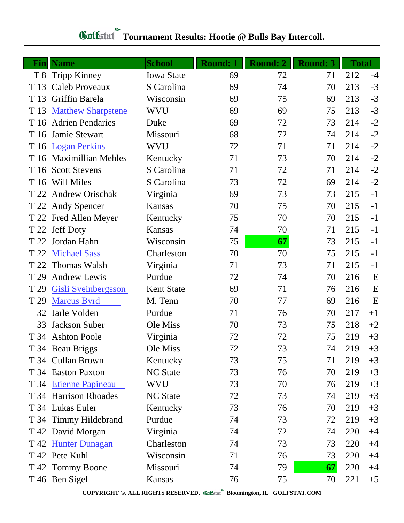| Fin  | <b>Name</b>               | <b>School</b>     | <b>Round: 1</b> | Round: 2 | <b>Round: 3</b> | <b>Total</b> |      |
|------|---------------------------|-------------------|-----------------|----------|-----------------|--------------|------|
| T 8  | <b>Tripp Kinney</b>       | <b>Iowa State</b> | 69              | 72       | 71              | 212          | $-4$ |
| T 13 | <b>Caleb Proveaux</b>     | S Carolina        | 69              | 74       | 70              | 213          | $-3$ |
| T 13 | Griffin Barela            | Wisconsin         | 69              | 75       | 69              | 213          | $-3$ |
| T 13 | <b>Matthew Sharpstene</b> | WVU               | 69              | 69       | 75              | 213          | $-3$ |
| T 16 | <b>Adrien Pendaries</b>   | Duke              | 69              | 72       | 73              | 214          | $-2$ |
| T 16 | Jamie Stewart             | Missouri          | 68              | 72       | 74              | 214          | $-2$ |
|      | T 16 Logan Perkins        | <b>WVU</b>        | 72              | 71       | 71              | 214          | $-2$ |
|      | T 16 Maximillian Mehles   | Kentucky          | 71              | 73       | 70              | 214          | $-2$ |
|      | T 16 Scott Stevens        | S Carolina        | 71              | 72       | 71              | 214          | $-2$ |
|      | T 16 Will Miles           | S Carolina        | 73              | 72       | 69              | 214          | $-2$ |
| T 22 | <b>Andrew Orischak</b>    | Virginia          | 69              | 73       | 73              | 215          | $-1$ |
|      | T 22 Andy Spencer         | <b>Kansas</b>     | 70              | 75       | 70              | 215          | $-1$ |
|      | T 22 Fred Allen Meyer     | Kentucky          | 75              | 70       | 70              | 215          | $-1$ |
| T 22 | <b>Jeff Doty</b>          | <b>Kansas</b>     | 74              | 70       | 71              | 215          | $-1$ |
| T 22 | Jordan Hahn               | Wisconsin         | 75              | 67       | 73              | 215          | $-1$ |
| T 22 | <b>Michael Sass</b>       | Charleston        | 70              | 70       | 75              | 215          | $-1$ |
| T 22 | <b>Thomas Walsh</b>       | Virginia          | 71              | 73       | 71              | 215          | $-1$ |
| T 29 | <b>Andrew Lewis</b>       | Purdue            | 72              | 74       | 70              | 216          | E    |
| T 29 | Gisli Sveinbergsson       | <b>Kent State</b> | 69              | 71       | 76              | 216          | E    |
| T 29 | <b>Marcus Byrd</b>        | M. Tenn           | 70              | 77       | 69              | 216          | E    |
| 32   | Jarle Volden              | Purdue            | 71              | 76       | 70              | 217          | $+1$ |
| 33   | Jackson Suber             | Ole Miss          | 70              | 73       | 75              | 218          | $+2$ |
|      | T 34 Ashton Poole         | Virginia          | 72              | 72       | 75              | 219          | $+3$ |
|      | T 34 Beau Briggs          | Ole Miss          | 72              | 73       | 74              | 219          | $+3$ |
|      | T 34 Cullan Brown         | Kentucky          | 73              | 75       | 71              | 219          | $+3$ |
|      | T 34 Easton Paxton        | <b>NC State</b>   | 73              | 76       | 70              | 219          | $+3$ |
|      | T 34 Etienne Papineau     | WVU               | 73              | 70       | 76              | 219          | $+3$ |
|      | T 34 Harrison Rhoades     | <b>NC</b> State   | 72              | 73       | 74              | 219          | $+3$ |
|      | T 34 Lukas Euler          | Kentucky          | 73              | 76       | 70              | 219          | $+3$ |
|      | T 34 Timmy Hildebrand     | Purdue            | 74              | 73       | 72              | 219          | $+3$ |
|      | T 42 David Morgan         | Virginia          | 74              | 72       | 74              | 220          | $+4$ |
|      | T 42 Hunter Dunagan       | Charleston        | 74              | 73       | 73              | 220          | $+4$ |
|      | T 42 Pete Kuhl            | Wisconsin         | 71              | 76       | 73              | 220          | $+4$ |
|      | T 42 Tommy Boone          | Missouri          | 74              | 79       | 67              | 220          | $+4$ |
|      | T 46 Ben Sigel            | Kansas            | 76              | 75       | 70              | 221          | $+5$ |

## **Tournament Results: Hootie @ Bulls Bay Intercoll.**

**COPYRIGHT ©, ALL RIGHTS RESERVED, Bloomington, IL GOLFSTAT.COM**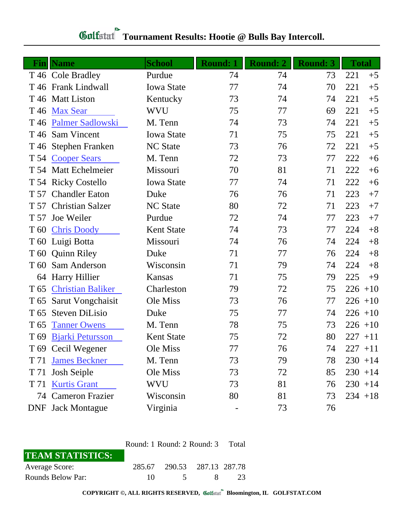| $\mathbf{Fin} $ | <b>Name</b>              | <b>School</b>     | <b>Round: 1</b> | <b>Round: 2</b> | <b>Round: 3</b> | <b>Total</b> |
|-----------------|--------------------------|-------------------|-----------------|-----------------|-----------------|--------------|
|                 | T 46 Cole Bradley        | Purdue            | 74              | 74              | 73              | 221<br>$+5$  |
|                 | T 46 Frank Lindwall      | <b>Iowa State</b> | 77              | 74              | 70              | 221<br>$+5$  |
|                 | T 46 Matt Liston         | Kentucky          | 73              | 74              | 74              | 221<br>$+5$  |
| T 46            | <b>Max Sear</b>          | <b>WVU</b>        | 75              | 77              | 69              | 221<br>$+5$  |
| T 46            | <b>Palmer Sadlowski</b>  | M. Tenn           | 74              | 73              | 74              | 221<br>$+5$  |
| T 46            | <b>Sam Vincent</b>       | <b>Iowa State</b> | 71              | 75              | 75              | 221<br>$+5$  |
|                 | T 46 Stephen Franken     | <b>NC State</b>   | 73              | 76              | 72              | 221<br>$+5$  |
|                 | T 54 Cooper Sears        | M. Tenn           | 72              | 73              | 77              | 222<br>$+6$  |
|                 | T 54 Matt Echelmeier     | Missouri          | 70              | 81              | 71              | 222<br>$+6$  |
|                 | T 54 Ricky Costello      | <b>Iowa State</b> | 77              | 74              | 71              | 222<br>$+6$  |
| T 57            | <b>Chandler Eaton</b>    | Duke              | 76              | 76              | 71              | 223<br>$+7$  |
| T 57            | <b>Christian Salzer</b>  | <b>NC State</b>   | 80              | 72              | 71              | 223<br>$+7$  |
| T 57            | Joe Weiler               | Purdue            | 72              | 74              | 77              | 223<br>$+7$  |
| T 60            | <b>Chris Doody</b>       | <b>Kent State</b> | 74              | 73              | 77              | 224<br>$+8$  |
| T 60            | Luigi Botta              | Missouri          | 74              | 76              | 74              | $+8$<br>224  |
| T 60            | <b>Quinn Riley</b>       | Duke              | 71              | 77              | 76              | 224<br>$+8$  |
| T 60            | Sam Anderson             | Wisconsin         | 71              | 79              | 74              | 224<br>$+8$  |
| 64              | <b>Harry Hillier</b>     | <b>Kansas</b>     | 71              | 75              | 79              | 225<br>$+9$  |
| T <sub>65</sub> | <b>Christian Baliker</b> | Charleston        | 79              | 72              | 75              | 226<br>$+10$ |
| T 65            | Sarut Vongchaisit        | Ole Miss          | 73              | 76              | 77              | $226 + 10$   |
| T <sub>65</sub> | <b>Steven DiLisio</b>    | Duke              | 75              | 77              | 74              | $226 + 10$   |
| T <sub>65</sub> | <b>Tanner Owens</b>      | M. Tenn           | 78              | 75              | 73              | $226 + 10$   |
| T <sub>69</sub> | <b>Bjarki Petursson</b>  | <b>Kent State</b> | 75              | 72              | 80              | $227 + 11$   |
|                 | T 69 Cecil Wegener       | Ole Miss          | 77              | 76              | 74              | $227 + 11$   |
| T 71            | <b>James Beckner</b>     | M. Tenn           | 73              | 79              | 78              | $230 + 14$   |
| T 71            | <b>Josh Seiple</b>       | Ole Miss          | 73              | 72              | 85              | $230 + 14$   |
|                 | T 71 Kurtis Grant        | <b>WVU</b>        | 73              | 81              | 76              | $230 + 14$   |
|                 | 74 Cameron Frazier       | Wisconsin         | 80              | 81              | 73              | $234 + 18$   |
|                 | <b>DNF</b> Jack Montague | Virginia          |                 | 73              | 76              |              |

## **Tournament Results: Hootie @ Bulls Bay Intercoll.**

|                         | Round: 1 Round: 2 Round: 3 Total |                             |  |    |  |  |
|-------------------------|----------------------------------|-----------------------------|--|----|--|--|
| <b>TEAM STATISTICS:</b> |                                  |                             |  |    |  |  |
| Average Score:          |                                  | 285.67 290.53 287.13 287.78 |  |    |  |  |
| Rounds Below Par:       | $10 -$                           | $\sim$ 5                    |  | 23 |  |  |

**COPYRIGHT ©, ALL RIGHTS RESERVED, Bloomington, IL GOLFSTAT.COM**